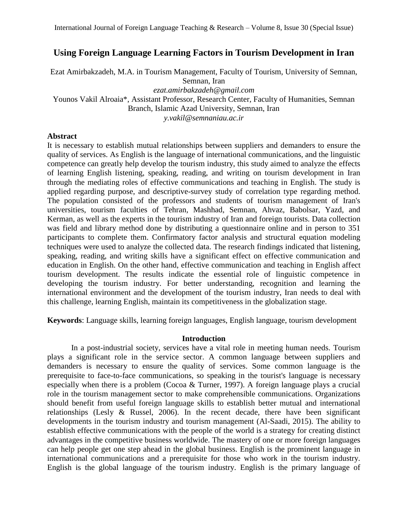# **Using Foreign Language Learning Factors in Tourism Development in Iran**

Ezat Amirbakzadeh, M.A. in Tourism Management, Faculty of Tourism, University of Semnan, Semnan, Iran *[ezat.amirbakzadeh@gmail.com](mailto:ezat.amirbakzadeh@gmail.com)* Younos Vakil Alroaia\*, Assistant Professor, Research Center, Faculty of Humanities, Semnan Branch, Islamic Azad University, Semnan, Iran

*[y.vakil@semnaniau.ac.ir](mailto:y.vakil@semnaniau.ac.ir)*

# **Abstract**

It is necessary to establish mutual relationships between suppliers and demanders to ensure the quality of services. As English is the language of international communications, and the linguistic competence can greatly help develop the tourism industry, this study aimed to analyze the effects of learning English listening, speaking, reading, and writing on tourism development in Iran through the mediating roles of effective communications and teaching in English. The study is applied regarding purpose, and descriptive-survey study of correlation type regarding method. The population consisted of the professors and students of tourism management of Iran's universities, tourism faculties of Tehran, Mashhad, Semnan, Ahvaz, Babolsar, Yazd, and Kerman, as well as the experts in the tourism industry of Iran and foreign tourists. Data collection was field and library method done by distributing a questionnaire online and in person to 351 participants to complete them. Confirmatory factor analysis and structural equation modeling techniques were used to analyze the collected data. The research findings indicated that listening, speaking, reading, and writing skills have a significant effect on effective communication and education in English. On the other hand, effective communication and teaching in English affect tourism development. The results indicate the essential role of linguistic competence in developing the tourism industry. For better understanding, recognition and learning the international environment and the development of the tourism industry, Iran needs to deal with this challenge, learning English, maintain its competitiveness in the globalization stage.

**Keywords**: Language skills, learning foreign languages, English language, tourism development

# **Introduction**

In a post-industrial society, services have a vital role in meeting human needs. Tourism plays a significant role in the service sector. A common language between suppliers and demanders is necessary to ensure the quality of services. Some common language is the prerequisite to face-to-face communications, so speaking in the tourist's language is necessary especially when there is a problem (Cocoa & Turner, 1997). A foreign language plays a crucial role in the tourism management sector to make comprehensible communications. Organizations should benefit from useful foreign language skills to establish better mutual and international relationships (Lesly & Russel, 2006). In the recent decade, there have been significant developments in the tourism industry and tourism management (Al-Saadi, 2015). The ability to establish effective communications with the people of the world is a strategy for creating distinct advantages in the competitive business worldwide. The mastery of one or more foreign languages can help people get one step ahead in the global business. English is the prominent language in international communications and a prerequisite for those who work in the tourism industry. English is the global language of the tourism industry. English is the primary language of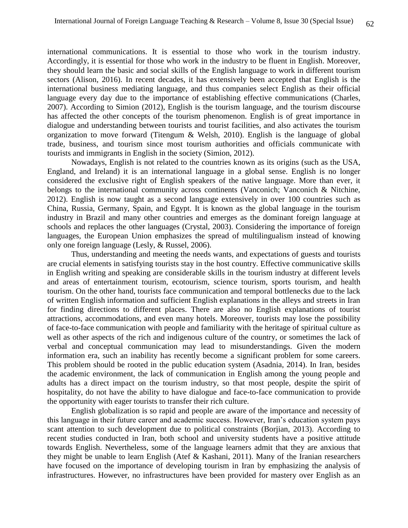international communications. It is essential to those who work in the tourism industry. Accordingly, it is essential for those who work in the industry to be fluent in English. Moreover, they should learn the basic and social skills of the English language to work in different tourism sectors (Alison, 2016). In recent decades, it has extensively been accepted that English is the international business mediating language, and thus companies select English as their official language every day due to the importance of establishing effective communications (Charles, 2007). According to Simion (2012), English is the tourism language, and the tourism discourse has affected the other concepts of the tourism phenomenon. English is of great importance in dialogue and understanding between tourists and tourist facilities, and also activates the tourism organization to move forward (Titengum & Welsh, 2010). English is the language of global trade, business, and tourism since most tourism authorities and officials communicate with tourists and immigrants in English in the society (Simion, 2012).

Nowadays, English is not related to the countries known as its origins (such as the USA, England, and Ireland) it is an international language in a global sense. English is no longer considered the exclusive right of English speakers of the native language. More than ever, it belongs to the international community across continents (Vanconich; Vanconich & Nitchine, 2012). English is now taught as a second language extensively in over 100 countries such as China, Russia, Germany, Spain, and Egypt. It is known as the global language in the tourism industry in Brazil and many other countries and emerges as the dominant foreign language at schools and replaces the other languages (Crystal, 2003). Considering the importance of foreign languages, the European Union emphasizes the spread of multilingualism instead of knowing only one foreign language (Lesly, & Russel, 2006).

Thus, understanding and meeting the needs wants, and expectations of guests and tourists are crucial elements in satisfying tourists stay in the host country. Effective communicative skills in English writing and speaking are considerable skills in the tourism industry at different levels and areas of entertainment tourism, ecotourism, science tourism, sports tourism, and health tourism. On the other hand, tourists face communication and temporal bottlenecks due to the lack of written English information and sufficient English explanations in the alleys and streets in Iran for finding directions to different places. There are also no English explanations of tourist attractions, accommodations, and even many hotels. Moreover, tourists may lose the possibility of face-to-face communication with people and familiarity with the heritage of spiritual culture as well as other aspects of the rich and indigenous culture of the country, or sometimes the lack of verbal and conceptual communication may lead to misunderstandings. Given the modern information era, such an inability has recently become a significant problem for some careers. This problem should be rooted in the public education system (Asadnia, 2014). In Iran, besides the academic environment, the lack of communication in English among the young people and adults has a direct impact on the tourism industry, so that most people, despite the spirit of hospitality, do not have the ability to have dialogue and face-to-face communication to provide the opportunity with eager tourists to transfer their rich culture.

English globalization is so rapid and people are aware of the importance and necessity of this language in their future career and academic success. However, Iran's education system pays scant attention to such development due to political constraints (Borjian, 2013). According to recent studies conducted in Iran, both school and university students have a positive attitude towards English. Nevertheless, some of the language learners admit that they are anxious that they might be unable to learn English (Atef & Kashani, 2011). Many of the Iranian researchers have focused on the importance of developing tourism in Iran by emphasizing the analysis of infrastructures. However, no infrastructures have been provided for mastery over English as an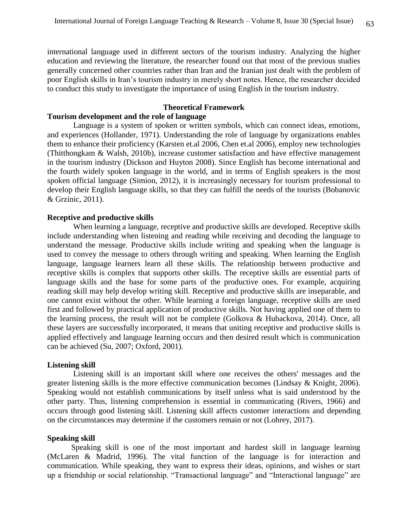international language used in different sectors of the tourism industry. Analyzing the higher education and reviewing the literature, the researcher found out that most of the previous studies generally concerned other countries rather than Iran and the Iranian just dealt with the problem of poor English skills in Iran's tourism industry in merely short notes. Hence, the researcher decided to conduct this study to investigate the importance of using English in the tourism industry.

#### **Theoretical Framework**

### **Tourism development and the role of language**

Language is a system of spoken or written symbols, which can connect ideas, emotions, and experiences (Hollander, 1971). Understanding the role of language by organizations enables them to enhance their proficiency (Karsten et.al 2006, Chen et.al 2006), employ new technologies (Thitthongkam & Walsh, 2010b), increase customer satisfaction and have effective management in the tourism industry (Dickson and Huyton 2008). Since English has become international and the fourth widely spoken language in the world, and in terms of English speakers is the most spoken official language (Simion, 2012), it is increasingly necessary for tourism professional to develop their English language skills, so that they can fulfill the needs of the tourists (Bobanovic & Grzinic, 2011).

# **Receptive and productive skills**

When learning a language, receptive and productive skills are developed. Receptive skills include understanding when listening and reading while receiving and decoding the language to understand the message. Productive skills include writing and speaking when the language is used to convey the message to others through writing and speaking. When learning the English language, language learners learn all these skills. The relationship between productive and receptive skills is complex that supports other skills. The receptive skills are essential parts of language skills and the base for some parts of the productive ones. For example, acquiring reading skill may help develop writing skill. Receptive and productive skills are inseparable, and one cannot exist without the other. While learning a foreign language, receptive skills are used first and followed by practical application of productive skills. Not having applied one of them to the learning process, the result will not be complete (Golkova & Hubackova, 2014). Once, all these layers are successfully incorporated, it means that uniting receptive and productive skills is applied effectively and language learning occurs and then desired result which is communication can be achieved (Su, 2007; Oxford, 2001).

### **Listening skill**

Listening skill is an important skill where one receives the others' messages and the greater listening skills is the more effective communication becomes (Lindsay & Knight, 2006). Speaking would not establish communications by itself unless what is said understood by the other party. Thus, listening comprehension is essential in communicating (Rivers, 1966) and occurs through good listening skill. Listening skill affects customer interactions and depending on the circumstances may determine if the customers remain or not (Lohrey, 2017).

#### **Speaking skill**

Speaking skill is one of the most important and hardest skill in language learning (McLaren & Madrid, 1996). The vital function of the language is for interaction and communication. While speaking, they want to express their ideas, opinions, and wishes or start up a friendship or social relationship. "Transactional language" and "Interactional language" are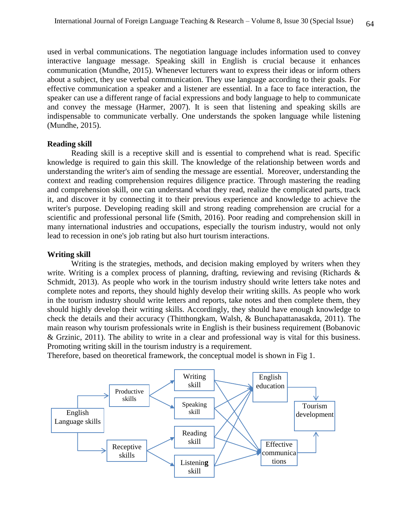used in verbal communications. The negotiation language includes information used to convey interactive language message. Speaking skill in English is crucial because it enhances communication (Mundhe, 2015). Whenever lecturers want to express their ideas or inform others about a subject, they use verbal communication. They use language according to their goals. For effective communication a speaker and a listener are essential. In a face to face interaction, the speaker can use a different range of facial expressions and body language to help to communicate and convey the message (Harmer, 2007). It is seen that listening and speaking skills are indispensable to communicate verbally. One understands the spoken language while listening (Mundhe, 2015).

### **Reading skill**

Reading skill is a receptive skill and is essential to comprehend what is read. Specific knowledge is required to gain this skill. The knowledge of the relationship between words and understanding the writer's aim of sending the message are essential. Moreover, understanding the context and reading comprehension requires diligence practice. Through mastering the reading and comprehension skill, one can understand what they read, realize the complicated parts, track it, and discover it by connecting it to their previous experience and knowledge to achieve the writer's purpose. Developing reading skill and strong reading comprehension are crucial for a scientific and professional personal life (Smith, 2016). Poor reading and comprehension skill in many international industries and occupations, especially the tourism industry, would not only lead to recession in one's job rating but also hurt tourism interactions.

#### **Writing skill**

Writing is the strategies, methods, and decision making employed by writers when they write. Writing is a complex process of planning, drafting, reviewing and revising (Richards & Schmidt, 2013). As people who work in the tourism industry should write letters take notes and complete notes and reports, they should highly develop their writing skills. As people who work in the tourism industry should write letters and reports, take notes and then complete them, they should highly develop their writing skills. Accordingly, they should have enough knowledge to check the details and their accuracy (Thitthongkam, Walsh, & Bunchapattanasakda, 2011). The main reason why tourism professionals write in English is their business requirement (Bobanovic & Grzinic, 2011). The ability to write in a clear and professional way is vital for this business. Promoting writing skill in the tourism industry is a requirement.

Therefore, based on theoretical framework, the conceptual model is shown in Fig 1.

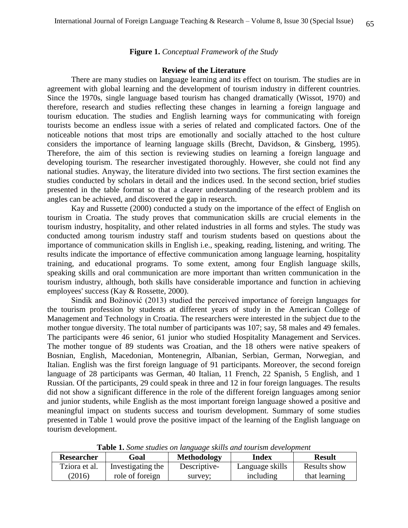# **Figure 1.** *Conceptual Framework of the Study*

#### **Review of the Literature**

There are many studies on language learning and its effect on tourism. The studies are in agreement with global learning and the development of tourism industry in different countries. Since the 1970s, single language based tourism has changed dramatically (Wissot, 1970) and therefore, research and studies reflecting these changes in learning a foreign language and tourism education. The studies and English learning ways for communicating with foreign tourists become an endless issue with a series of related and complicated factors. One of the noticeable notions that most trips are emotionally and socially attached to the host culture considers the importance of learning language skills (Brecht, Davidson, & Ginsberg, 1995). Therefore, the aim of this section is reviewing studies on learning a foreign language and developing tourism. The researcher investigated thoroughly. However, she could not find any national studies. Anyway, the literature divided into two sections. The first section examines the studies conducted by scholars in detail and the indices used. In the second section, brief studies presented in the table format so that a clearer understanding of the research problem and its angles can be achieved, and discovered the gap in research.

Kay and Russette (2000) conducted a study on the importance of the effect of English on tourism in Croatia. The study proves that communication skills are crucial elements in the tourism industry, hospitality, and other related industries in all forms and styles. The study was conducted among tourism industry staff and tourism students based on questions about the importance of communication skills in English i.e., speaking, reading, listening, and writing. The results indicate the importance of effective communication among language learning, hospitality training, and educational programs. To some extent, among four English language skills, speaking skills and oral communication are more important than written communication in the tourism industry, although, both skills have considerable importance and function in achieving employees' success (Kay & Rossette, 2000).

Sindik and Božinović (2013) studied the perceived importance of foreign languages for the tourism profession by students at different years of study in the American College of Management and Technology in Croatia. The researchers were interested in the subject due to the mother tongue diversity. The total number of participants was 107; say, 58 males and 49 females. The participants were 46 senior, 61 junior who studied Hospitality Management and Services. The mother tongue of 89 students was Croatian, and the 18 others were native speakers of Bosnian, English, Macedonian, Montenegrin, Albanian, Serbian, German, Norwegian, and Italian. English was the first foreign language of 91 participants. Moreover, the second foreign language of 28 participants was German, 40 Italian, 11 French, 22 Spanish, 5 English, and 1 Russian. Of the participants, 29 could speak in three and 12 in four foreign languages. The results did not show a significant difference in the role of the different foreign languages among senior and junior students, while English as the most important foreign language showed a positive and meaningful impact on students success and tourism development. Summary of some studies presented in Table 1 would prove the positive impact of the learning of the English language on tourism development.

| Researcher    | Goal              | <b>Methodology</b> | Index           | <b>Result</b> |  |
|---------------|-------------------|--------------------|-----------------|---------------|--|
| Tziora et al. | Investigating the | Descriptive-       | Language skills | Results show  |  |
| (2016)        | role of foreign   | survey:            | including       | that learning |  |

**Table 1.** *Some studies on language skills and tourism development*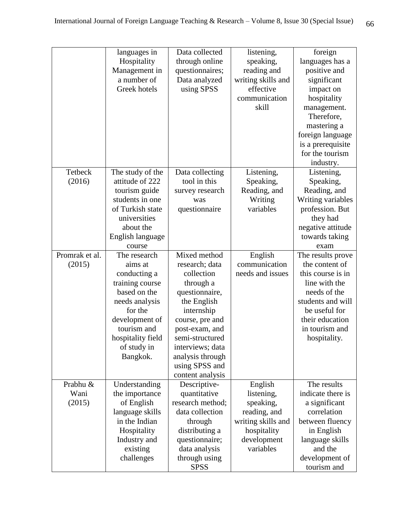|                | languages in           | Data collected   | listening,               | foreign           |
|----------------|------------------------|------------------|--------------------------|-------------------|
|                | Hospitality            | through online   | speaking,                | languages has a   |
|                | Management in          | questionnaires;  | reading and              | positive and      |
|                | a number of            | Data analyzed    | writing skills and       | significant       |
|                | Greek hotels           | using SPSS       | effective                | impact on         |
|                |                        |                  | communication            | hospitality       |
|                |                        |                  | skill                    | management.       |
|                |                        |                  |                          | Therefore,        |
|                |                        |                  |                          | mastering a       |
|                |                        |                  |                          | foreign language  |
|                |                        |                  |                          | is a prerequisite |
|                |                        |                  |                          | for the tourism   |
|                |                        |                  |                          | industry.         |
| Tetbeck        | The study of the       | Data collecting  | Listening,               | Listening,        |
| (2016)         | attitude of 222        | tool in this     | Speaking,                | Speaking,         |
|                | tourism guide          | survey research  | Reading, and             | Reading, and      |
|                | students in one        | was              | Writing                  | Writing variables |
|                | of Turkish state       | questionnaire    | variables                | profession. But   |
|                | universities           |                  |                          | they had          |
|                | about the              |                  |                          | negative attitude |
|                |                        |                  |                          |                   |
|                | English language       |                  |                          | towards taking    |
| Promrak et al. | course<br>The research | Mixed method     |                          | exam              |
|                |                        |                  | English<br>communication | The results prove |
| (2015)         | aims at                | research; data   |                          | the content of    |
|                | conducting a           | collection       | needs and issues         | this course is in |
|                | training course        | through a        |                          | line with the     |
|                | based on the           | questionnaire,   |                          | needs of the      |
|                | needs analysis         | the English      |                          | students and will |
|                | for the                | internship       |                          | be useful for     |
|                | development of         | course, pre and  |                          | their education   |
|                | tourism and            | post-exam, and   |                          | in tourism and    |
|                | hospitality field      | semi-structured  |                          | hospitality.      |
|                | of study in            | interviews; data |                          |                   |
|                | Bangkok.               | analysis through |                          |                   |
|                |                        | using SPSS and   |                          |                   |
|                |                        | content analysis |                          |                   |
| Prabhu &       | Understanding          | Descriptive-     | English                  | The results       |
| Wani           | the importance         | quantitative     | listening,               | indicate there is |
| (2015)         | of English             | research method; | speaking,                | a significant     |
|                | language skills        | data collection  | reading, and             | correlation       |
|                | in the Indian          | through          | writing skills and       | between fluency   |
|                | Hospitality            | distributing a   | hospitality              | in English        |
|                | Industry and           | questionnaire;   | development              | language skills   |
|                | existing               | data analysis    | variables                | and the           |
|                | challenges             | through using    |                          | development of    |
|                |                        | <b>SPSS</b>      |                          | tourism and       |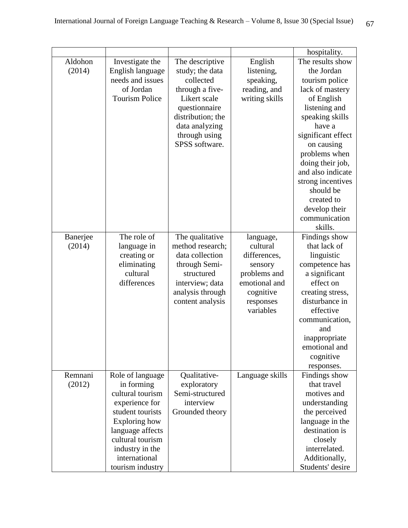|          |                       |                   |                 | hospitality.       |
|----------|-----------------------|-------------------|-----------------|--------------------|
| Aldohon  | Investigate the       | The descriptive   | English         | The results show   |
| (2014)   | English language      | study; the data   | listening,      | the Jordan         |
|          | needs and issues      | collected         | speaking,       | tourism police     |
|          | of Jordan             | through a five-   | reading, and    | lack of mastery    |
|          | <b>Tourism Police</b> | Likert scale      | writing skills  | of English         |
|          |                       | questionnaire     |                 | listening and      |
|          |                       | distribution; the |                 | speaking skills    |
|          |                       | data analyzing    |                 | have a             |
|          |                       | through using     |                 | significant effect |
|          |                       | SPSS software.    |                 | on causing         |
|          |                       |                   |                 | problems when      |
|          |                       |                   |                 | doing their job,   |
|          |                       |                   |                 | and also indicate  |
|          |                       |                   |                 | strong incentives  |
|          |                       |                   |                 | should be          |
|          |                       |                   |                 | created to         |
|          |                       |                   |                 | develop their      |
|          |                       |                   |                 | communication      |
|          |                       |                   |                 | skills.            |
| Banerjee | The role of           | The qualitative   | language,       | Findings show      |
| (2014)   | language in           | method research;  | cultural        | that lack of       |
|          | creating or           | data collection   | differences,    | linguistic         |
|          | eliminating           | through Semi-     | sensory         | competence has     |
|          | cultural              | structured        | problems and    | a significant      |
|          | differences           | interview; data   | emotional and   | effect on          |
|          |                       | analysis through  | cognitive       | creating stress,   |
|          |                       | content analysis  | responses       | disturbance in     |
|          |                       |                   | variables       | effective          |
|          |                       |                   |                 | communication,     |
|          |                       |                   |                 | and                |
|          |                       |                   |                 | inappropriate      |
|          |                       |                   |                 | emotional and      |
|          |                       |                   |                 | cognitive          |
|          |                       |                   |                 | responses.         |
| Remnani  | Role of language      | Qualitative-      | Language skills | Findings show      |
| (2012)   | in forming            | exploratory       |                 | that travel        |
|          | cultural tourism      | Semi-structured   |                 | motives and        |
|          | experience for        | interview         |                 | understanding      |
|          | student tourists      | Grounded theory   |                 | the perceived      |
|          | Exploring how         |                   |                 | language in the    |
|          | language affects      |                   |                 | destination is     |
|          | cultural tourism      |                   |                 | closely            |
|          | industry in the       |                   |                 | interrelated.      |
|          | international         |                   |                 | Additionally,      |
|          | tourism industry      |                   |                 | Students' desire   |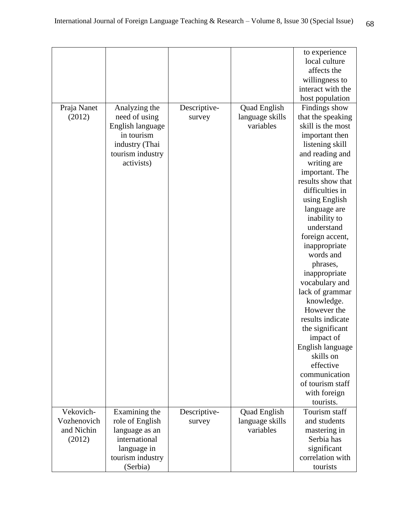|             |                  |              |                     | to experience     |
|-------------|------------------|--------------|---------------------|-------------------|
|             |                  |              |                     | local culture     |
|             |                  |              |                     | affects the       |
|             |                  |              |                     | willingness to    |
|             |                  |              |                     | interact with the |
|             |                  |              |                     | host population   |
| Praja Nanet | Analyzing the    | Descriptive- | <b>Quad English</b> | Findings show     |
| (2012)      | need of using    | survey       | language skills     | that the speaking |
|             | English language |              | variables           | skill is the most |
|             | in tourism       |              |                     | important then    |
|             | industry (Thai   |              |                     | listening skill   |
|             | tourism industry |              |                     | and reading and   |
|             | activists)       |              |                     | writing are       |
|             |                  |              |                     | important. The    |
|             |                  |              |                     | results show that |
|             |                  |              |                     | difficulties in   |
|             |                  |              |                     | using English     |
|             |                  |              |                     | language are      |
|             |                  |              |                     | inability to      |
|             |                  |              |                     | understand        |
|             |                  |              |                     | foreign accent,   |
|             |                  |              |                     | inappropriate     |
|             |                  |              |                     | words and         |
|             |                  |              |                     | phrases,          |
|             |                  |              |                     | inappropriate     |
|             |                  |              |                     | vocabulary and    |
|             |                  |              |                     | lack of grammar   |
|             |                  |              |                     | knowledge.        |
|             |                  |              |                     | However the       |
|             |                  |              |                     | results indicate  |
|             |                  |              |                     | the significant   |
|             |                  |              |                     | impact of         |
|             |                  |              |                     | English language  |
|             |                  |              |                     | skills on         |
|             |                  |              |                     | effective         |
|             |                  |              |                     | communication     |
|             |                  |              |                     | of tourism staff  |
|             |                  |              |                     | with foreign      |
|             |                  |              |                     | tourists.         |
| Vekovich-   | Examining the    | Descriptive- | <b>Quad English</b> | Tourism staff     |
| Vozhenovich | role of English  | survey       | language skills     | and students      |
| and Nichin  | language as an   |              | variables           | mastering in      |
| (2012)      | international    |              |                     | Serbia has        |
|             | language in      |              |                     | significant       |
|             | tourism industry |              |                     | correlation with  |
|             | (Serbia)         |              |                     | tourists          |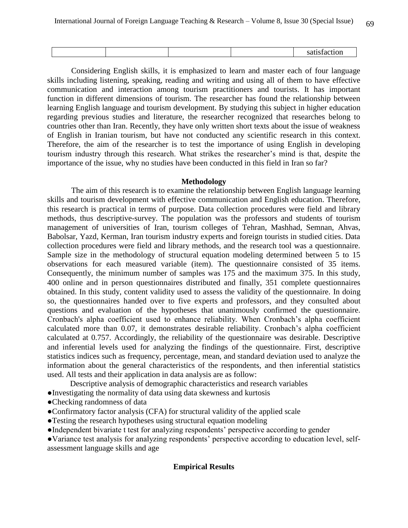Considering English skills, it is emphasized to learn and master each of four language skills including listening, speaking, reading and writing and using all of them to have effective communication and interaction among tourism practitioners and tourists. It has important function in different dimensions of tourism. The researcher has found the relationship between learning English language and tourism development. By studying this subject in higher education regarding previous studies and literature, the researcher recognized that researches belong to countries other than Iran. Recently, they have only written short texts about the issue of weakness of English in Iranian tourism, but have not conducted any scientific research in this context. Therefore, the aim of the researcher is to test the importance of using English in developing tourism industry through this research. What strikes the researcher's mind is that, despite the importance of the issue, why no studies have been conducted in this field in Iran so far?

#### **Methodology**

The aim of this research is to examine the relationship between English language learning skills and tourism development with effective communication and English education. Therefore, this research is practical in terms of purpose. Data collection procedures were field and library methods, thus descriptive-survey. The population was the professors and students of tourism management of universities of Iran, tourism colleges of Tehran, Mashhad, Semnan, Ahvas, Babolsar, Yazd, Kerman, Iran tourism industry experts and foreign tourists in studied cities. Data collection procedures were field and library methods, and the research tool was a questionnaire. Sample size in the methodology of structural equation modeling determined between 5 to 15 observations for each measured variable (item). The questionnaire consisted of 35 items. Consequently, the minimum number of samples was 175 and the maximum 375. In this study, 400 online and in person questionnaires distributed and finally, 351 complete questionnaires obtained. In this study, content validity used to assess the validity of the questionnaire. In doing so, the questionnaires handed over to five experts and professors, and they consulted about questions and evaluation of the hypotheses that unanimously confirmed the questionnaire. Cronbach's alpha coefficient used to enhance reliability. When Cronbach's alpha coefficient calculated more than 0.07, it demonstrates desirable reliability. Cronbach's alpha coefficient calculated at 0.757. Accordingly, the reliability of the questionnaire was desirable. Descriptive and inferential levels used for analyzing the findings of the questionnaire. First, descriptive statistics indices such as frequency, percentage, mean, and standard deviation used to analyze the information about the general characteristics of the respondents, and then inferential statistics used. All tests and their application in data analysis are as follow:

- Descriptive analysis of demographic characteristics and research variables
- ●Investigating the normality of data using data skewness and kurtosis
- ●Checking randomness of data
- ●Confirmatory factor analysis (CFA) for structural validity of the applied scale
- ●Testing the research hypotheses using structural equation modeling
- ●Independent bivariate t test for analyzing respondents' perspective according to gender

●Variance test analysis for analyzing respondents' perspective according to education level, selfassessment language skills and age

#### **Empirical Results**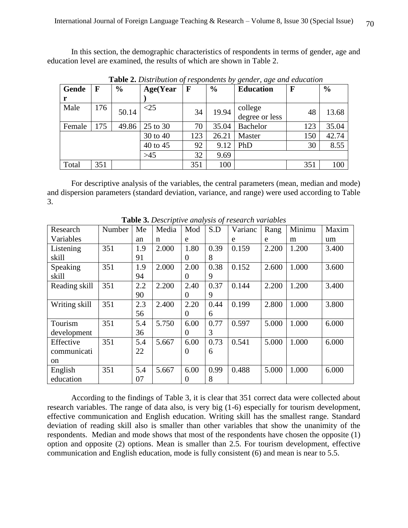In this section, the demographic characteristics of respondents in terms of gender, age and education level are examined, the results of which are shown in Table 2.

| Gende  | $\mathbf F$ | $\frac{0}{0}$ | Age(Year  | F   | $\frac{6}{9}$ | <b>Education</b>          | $\mathbf F$ | $\frac{0}{0}$ |
|--------|-------------|---------------|-----------|-----|---------------|---------------------------|-------------|---------------|
| r      |             |               |           |     |               |                           |             |               |
| Male   | 176         | 50.14         | $\leq$ 25 | 34  | 19.94         | college<br>degree or less | 48          | 13.68         |
|        |             |               |           |     |               |                           |             |               |
| Female | 175         | 49.86         | 25 to 30  | 70  | 35.04         | <b>Bachelor</b>           | 123         | 35.04         |
|        |             |               | 30 to 40  | 123 | 26.21         | Master                    | 150         | 42.74         |
|        |             |               | 40 to 45  | 92  | 9.12          | PhD                       | 30          | 8.55          |
|        |             |               | $>45$     | 32  | 9.69          |                           |             |               |
| Total  | 351         |               |           | 351 | 100           |                           | 351         | 100           |

**Table 2.** *Distribution of respondents by gender, age and education*

For descriptive analysis of the variables, the central parameters (mean, median and mode) and dispersion parameters (standard deviation, variance, and range) were used according to Table 3.

|               | <b>Table 5:</b> Descriptive andrysis of research variables |     |       |          |      |         |       |        |       |
|---------------|------------------------------------------------------------|-----|-------|----------|------|---------|-------|--------|-------|
| Research      | Number                                                     | Me  | Media | Mod      | S.D  | Varianc | Rang  | Minimu | Maxim |
| Variables     |                                                            | an  | n     | e        |      | e       | e     | m      | um    |
| Listening     | 351                                                        | 1.9 | 2.000 | 1.80     | 0.39 | 0.159   | 2.200 | 1.200  | 3.400 |
| skill         |                                                            | 91  |       | $\Omega$ | 8    |         |       |        |       |
| Speaking      | 351                                                        | 1.9 | 2.000 | 2.00     | 0.38 | 0.152   | 2.600 | 1.000  | 3.600 |
| skill         |                                                            | 94  |       | $\theta$ | 9    |         |       |        |       |
| Reading skill | 351                                                        | 2.2 | 2.200 | 2.40     | 0.37 | 0.144   | 2.200 | 1.200  | 3.400 |
|               |                                                            | 90  |       | $\Omega$ | 9    |         |       |        |       |
| Writing skill | 351                                                        | 2.3 | 2.400 | 2.20     | 0.44 | 0.199   | 2.800 | 1.000  | 3.800 |
|               |                                                            | 56  |       | $\Omega$ | 6    |         |       |        |       |
| Tourism       | 351                                                        | 5.4 | 5.750 | 6.00     | 0.77 | 0.597   | 5.000 | 1.000  | 6.000 |
| development   |                                                            | 36  |       | $\theta$ | 3    |         |       |        |       |
| Effective     | 351                                                        | 5.4 | 5.667 | 6.00     | 0.73 | 0.541   | 5.000 | 1.000  | 6.000 |
| communicati   |                                                            | 22  |       | $\theta$ | 6    |         |       |        |       |
| on            |                                                            |     |       |          |      |         |       |        |       |
| English       | 351                                                        | 5.4 | 5.667 | 6.00     | 0.99 | 0.488   | 5.000 | 1.000  | 6.000 |
| education     |                                                            | 07  |       | $\theta$ | 8    |         |       |        |       |

**Table 3.** *Descriptive analysis of research variables*

According to the findings of Table 3, it is clear that 351 correct data were collected about research variables. The range of data also, is very big (1-6) especially for tourism development, effective communication and English education. Writing skill has the smallest range. Standard deviation of reading skill also is smaller than other variables that show the unanimity of the respondents. Median and mode shows that most of the respondents have chosen the opposite (1) option and opposite (2) options. Mean is smaller than 2.5. For tourism development, effective communication and English education, mode is fully consistent (6) and mean is near to 5.5.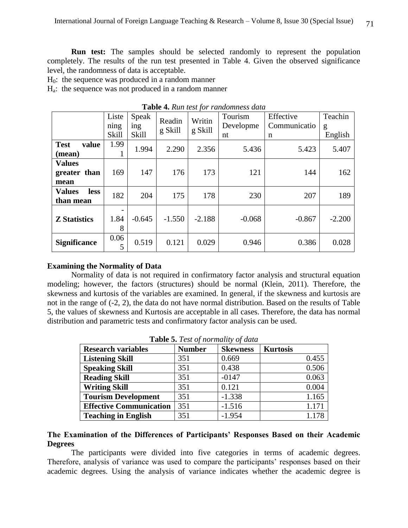**Run test:** The samples should be selected randomly to represent the population completely. The results of the run test presented in Table 4. Given the observed significance level, the randomness of data is acceptable.

 $H<sub>0</sub>$ : the sequence was produced in a random manner

Ha: the sequence was not produced in a random manner

|                                           | Liste<br>ning<br>Skill | Speak<br>ing<br><b>Skill</b> | Readin<br>g Skill | Writin<br>g Skill | Tourism<br>Developme<br>nt | Effective<br>Communicatio<br>n | Teachin<br>g<br>English |
|-------------------------------------------|------------------------|------------------------------|-------------------|-------------------|----------------------------|--------------------------------|-------------------------|
| <b>Test</b><br>value<br>(mean)            | 1.99                   | 1.994                        | 2.290             | 2.356             | 5.436                      | 5.423                          | 5.407                   |
| <b>Values</b><br>greater than<br>mean     | 169                    | 147                          | 176               | 173               | 121                        | 144                            | 162                     |
| <b>Values</b><br><b>less</b><br>than mean | 182                    | 204                          | 175               | 178               | 230                        | 207                            | 189                     |
| <b>Z</b> Statistics                       | 1.84<br>8              | $-0.645$                     | $-1.550$          | $-2.188$          | $-0.068$                   | $-0.867$                       | $-2.200$                |
| <b>Significance</b>                       | 0.06<br>5              | 0.519                        | 0.121             | 0.029             | 0.946                      | 0.386                          | 0.028                   |

**Table 4.** *Run test for randomness data*

# **Examining the Normality of Data**

Normality of data is not required in confirmatory factor analysis and structural equation modeling; however, the factors (structures) should be normal (Klein, 2011). Therefore, the skewness and kurtosis of the variables are examined. In general, if the skewness and kurtosis are not in the range of (-2, 2), the data do not have normal distribution. Based on the results of Table 5, the values of skewness and Kurtosis are acceptable in all cases. Therefore, the data has normal distribution and parametric tests and confirmatory factor analysis can be used.

| <b>Research variables</b>      | <b>Number</b> | <b>Skewness</b> | <b>Kurtosis</b> |
|--------------------------------|---------------|-----------------|-----------------|
| <b>Listening Skill</b>         | 351           | 0.669           | 0.455           |
| <b>Speaking Skill</b>          | 351           | 0.438           | 0.506           |
| <b>Reading Skill</b>           | 351           | $-0147$         | 0.063           |
| <b>Writing Skill</b>           | 351           | 0.121           | 0.004           |
| <b>Tourism Development</b>     | 351           | $-1.338$        | 1.165           |
| <b>Effective Communication</b> | 351           | $-1.516$        | 1.171           |
| <b>Teaching in English</b>     | 351           | $-1.954$        |                 |

**Table 5.** *Test of normality of data*

# **The Examination of the Differences of Participants' Responses Based on their Academic Degrees**

The participants were divided into five categories in terms of academic degrees. Therefore, analysis of variance was used to compare the participants' responses based on their academic degrees. Using the analysis of variance indicates whether the academic degree is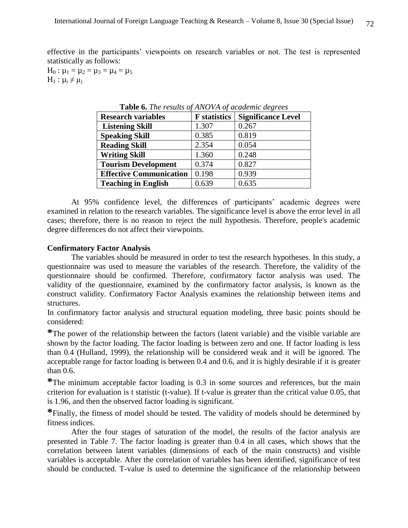effective in the participants' viewpoints on research variables or not. The test is represented statistically as follows:

 $H_0$ :  $\mu_1 = \mu_2 = \mu_3 = \mu_4 = \mu_5$  $H_1$  :  $\mu_i \neq \mu_j$ 

| <b>Research variables</b>      | <b>F</b> statistics | <b>Significance Level</b> |
|--------------------------------|---------------------|---------------------------|
| <b>Listening Skill</b>         | 1.307               | 0.267                     |
| <b>Speaking Skill</b>          | 0.385               | 0.819                     |
| <b>Reading Skill</b>           | 2.354               | 0.054                     |
| <b>Writing Skill</b>           | 1.360               | 0.248                     |
| <b>Tourism Development</b>     | 0.374               | 0.827                     |
| <b>Effective Communication</b> | 0.198               | 0.939                     |
| <b>Teaching in English</b>     | 0.639               | 0.635                     |

**Table 6.** *The results of ANOVA of academic degrees*

At 95% confidence level, the differences of participants' academic degrees were examined in relation to the research variables. The significance level is above the error level in all cases; therefore, there is no reason to reject the null hypothesis. Therefore, people's academic degree differences do not affect their viewpoints.

#### **Confirmatory Factor Analysis**

The variables should be measured in order to test the research hypotheses. In this study, a questionnaire was used to measure the variables of the research. Therefore, the validity of the questionnaire should be confirmed. Therefore, confirmatory factor analysis was used. The validity of the questionnaire, examined by the confirmatory factor analysis, is known as the construct validity. Confirmatory Factor Analysis examines the relationship between items and structures.

In confirmatory factor analysis and structural equation modeling, three basic points should be considered:

**\***The power of the relationship between the factors (latent variable) and the visible variable are shown by the factor loading. The factor loading is between zero and one. If factor loading is less than 0.4 (Hulland, 1999), the relationship will be considered weak and it will be ignored. The acceptable range for factor loading is between 0.4 and 0.6, and it is highly desirable if it is greater than 0.6.

**\***The minimum acceptable factor loading is 0.3 in some sources and references, but the main criterion for evaluation is t statistic (t-value). If t-value is greater than the critical value 0.05, that is 1.96, and then the observed factor loading is significant.

**\***Finally, the fitness of model should be tested. The validity of models should be determined by fitness indices.

After the four stages of saturation of the model, the results of the factor analysis are presented in Table 7. The factor loading is greater than 0.4 in all cases, which shows that the correlation between latent variables (dimensions of each of the main constructs) and visible variables is acceptable. After the correlation of variables has been identified, significance of test should be conducted. T-value is used to determine the significance of the relationship between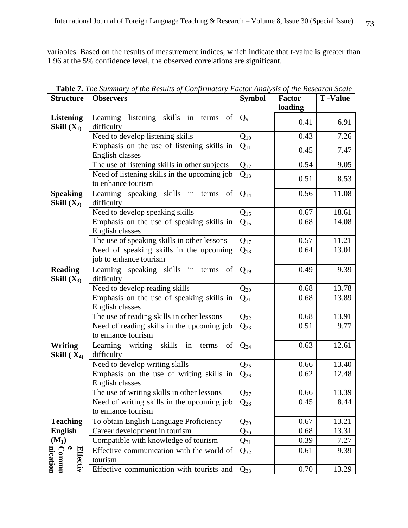variables. Based on the results of measurement indices, which indicate that t-value is greater than 1.96 at the 5% confidence level, the observed correlations are significant.

| <b>Structure</b>                                  | <b>Observers</b>                                                   | <b>Symbol</b>  | <b>Factor</b><br>loading | <b>T</b> -Value |
|---------------------------------------------------|--------------------------------------------------------------------|----------------|--------------------------|-----------------|
| <b>Listening</b><br>Skill $(X_1)$                 | Learning listening skills in<br>of<br>terms<br>difficulty          | Q <sub>9</sub> | 0.41                     | 6.91            |
|                                                   | Need to develop listening skills                                   | $Q_{10}$       | 0.43                     | 7.26            |
|                                                   | Emphasis on the use of listening skills in<br>English classes      | $Q_{11}$       | 0.45                     | 7.47            |
|                                                   | The use of listening skills in other subjects                      | $Q_{12}$       | 0.54                     | 9.05            |
|                                                   | Need of listening skills in the upcoming job<br>to enhance tourism | $Q_{13}$       | 0.51                     | 8.53            |
| <b>Speaking</b><br>Skill $(X_2)$                  | Learning speaking skills in terms<br>of<br>difficulty              | $Q_{14}$       | 0.56                     | 11.08           |
|                                                   | Need to develop speaking skills                                    | $Q_{15}$       | 0.67                     | 18.61           |
|                                                   | Emphasis on the use of speaking skills in<br>English classes       | $Q_{16}$       | 0.68                     | 14.08           |
|                                                   | The use of speaking skills in other lessons                        | $Q_{17}$       | 0.57                     | 11.21           |
|                                                   | Need of speaking skills in the upcoming<br>job to enhance tourism  | $Q_{18}$       | 0.64                     | 13.01           |
| <b>Reading</b><br>Skill $(X_3)$                   | Learning speaking skills in terms<br>of<br>difficulty              | $Q_{19}$       | 0.49                     | 9.39            |
|                                                   | Need to develop reading skills                                     | $Q_{20}$       | 0.68                     | 13.78           |
|                                                   | Emphasis on the use of speaking skills in<br>English classes       | $Q_{21}$       | 0.68                     | 13.89           |
|                                                   | The use of reading skills in other lessons                         | $Q_{22}$       | 0.68                     | 13.91           |
|                                                   | Need of reading skills in the upcoming job<br>to enhance tourism   | $Q_{23}$       | 0.51                     | 9.77            |
| <b>Writing</b><br>Skill $(X_4)$                   | Learning writing<br>skills<br>in<br>of<br>terms<br>difficulty      | $Q_{24}$       | 0.63                     | 12.61           |
|                                                   | Need to develop writing skills                                     | $Q_{25}$       | 0.66                     | 13.40           |
|                                                   | Emphasis on the use of writing skills in<br>English classes        | $Q_{26}$       | 0.62                     | 12.48           |
|                                                   | The use of writing skills in other lessons                         | $Q_{27}$       | 0.66                     | 13.39           |
|                                                   | Need of writing skills in the upcoming job<br>to enhance tourism   | $Q_{28}$       | 0.45                     | 8.44            |
| <b>Teaching</b>                                   | To obtain English Language Proficiency                             | $Q_{29}$       | 0.67                     | 13.21           |
| <b>English</b>                                    | Career development in tourism                                      | $Q_{30}$       | 0.68                     | 13.31           |
| $(M_1)$                                           | Compatible with knowledge of tourism                               | $Q_{31}$       | 0.39                     | 7.27            |
| $\bullet$<br><b>Commu</b><br>nication<br>Effectiv | Effective communication with the world of<br>tourism               | $Q_{32}$       | 0.61                     | 9.39            |
|                                                   | Effective communication with tourists and                          | $Q_{33}$       | 0.70                     | 13.29           |

**Table 7.** *The Summary of the Results of Confirmatory Factor Analysis of the Research Scale*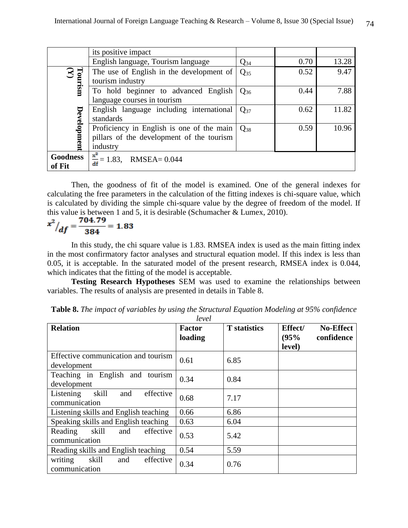|                           | its positive impact                                                                                |          |      |       |
|---------------------------|----------------------------------------------------------------------------------------------------|----------|------|-------|
|                           | English language, Tourism language                                                                 | $Q_{34}$ | 0.70 | 13.28 |
| $\boxed{\text{Tourism}}$  | The use of English in the development of<br>tourism industry                                       | $Q_{35}$ | 0.52 | 9.47  |
|                           | To hold beginner to advanced English<br>language courses in tourism                                | $Q_{36}$ | 0.44 | 7.88  |
|                           | English language including international<br>standards                                              | $Q_{37}$ | 0.62 | 11.82 |
| Development               | Proficiency in English is one of the main<br>pillars of the development of the tourism<br>industry | $Q_{38}$ | 0.59 | 10.96 |
| <b>Goodness</b><br>of Fit | $x^2$<br>$\frac{2}{df}$ = 1.83, RMSEA = 0.044                                                      |          |      |       |

Then, the goodness of fit of the model is examined. One of the general indexes for calculating the free parameters in the calculation of the fitting indexes is chi-square value, which is calculated by dividing the simple chi-square value by the degree of freedom of the model. If this value is between 1 and 5, it is desirable (Schumacher & Lumex, 2010).

$$
\left. x^2 \right/ df = \frac{704.79}{384} = 1.83
$$

In this study, the chi square value is 1.83. RMSEA index is used as the main fitting index in the most confirmatory factor analyses and structural equation model. If this index is less than 0.05, it is acceptable. In the saturated model of the present research, RMSEA index is 0.044, which indicates that the fitting of the model is acceptable.

**Testing Research Hypotheses** SEM was used to examine the relationships between variables. The results of analysis are presented in details in Table 8.

| <b>Relation</b>                                         | <b>Factor</b><br>loading | <b>T</b> statistics | Effect/<br>(95%<br>level) | <b>No-Effect</b><br>confidence |
|---------------------------------------------------------|--------------------------|---------------------|---------------------------|--------------------------------|
| Effective communication and tourism<br>development      | 0.61                     | 6.85                |                           |                                |
| Teaching in English and tourism<br>development          | 0.34                     | 0.84                |                           |                                |
| Listening<br>skill<br>effective<br>and<br>communication | 0.68                     | 7.17                |                           |                                |
| Listening skills and English teaching                   | 0.66                     | 6.86                |                           |                                |
| Speaking skills and English teaching                    | 0.63                     | 6.04                |                           |                                |
| skill<br>effective<br>Reading<br>and<br>communication   | 0.53                     | 5.42                |                           |                                |
| Reading skills and English teaching                     | 0.54                     | 5.59                |                           |                                |
| writing<br>skill<br>effective<br>and<br>communication   | 0.34                     | 0.76                |                           |                                |

**Table 8.** *The impact of variables by using the Structural Equation Modeling at 95% confidence level*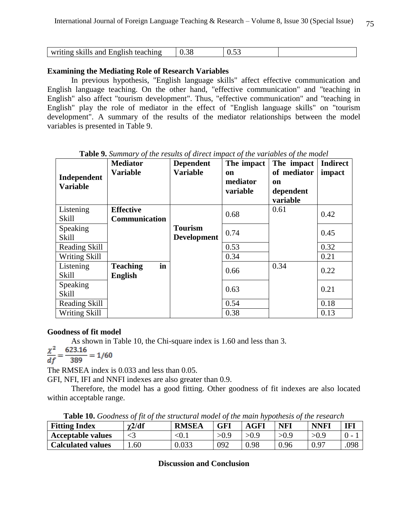| writing skills and English teaching | $\Omega$ | U.JJ |  |
|-------------------------------------|----------|------|--|

# **Examining the Mediating Role of Research Variables**

In previous hypothesis, "English language skills" affect effective communication and English language teaching. On the other hand, "effective communication" and "teaching in English" also affect "tourism development". Thus, "effective communication" and "teaching in English" play the role of mediator in the effect of "English language skills" on "tourism development". A summary of the results of the mediator relationships between the model variables is presented in Table 9.

| Independent<br><b>Variable</b> | <b>Mediator</b><br><b>Variable</b>       | <b>Dependent</b><br><b>Variable</b>  | The impact<br>on<br>mediator<br>variable | The impact<br>of mediator<br>on<br>dependent<br>variable | <b>Indirect</b><br>impact |
|--------------------------------|------------------------------------------|--------------------------------------|------------------------------------------|----------------------------------------------------------|---------------------------|
| Listening<br>Skill             | <b>Effective</b><br><b>Communication</b> |                                      | 0.68                                     | 0.61                                                     | 0.42                      |
| Speaking<br>Skill              |                                          | <b>Tourism</b><br><b>Development</b> | 0.74                                     |                                                          | 0.45                      |
| Reading Skill                  |                                          |                                      | 0.53                                     |                                                          | 0.32                      |
| Writing Skill                  |                                          |                                      | 0.34                                     |                                                          | 0.21                      |
| Listening<br>Skill             | in<br><b>Teaching</b><br><b>English</b>  |                                      | 0.66                                     | 0.34                                                     | 0.22                      |
| Speaking<br><b>Skill</b>       |                                          |                                      | 0.63                                     |                                                          | 0.21                      |
| Reading Skill                  |                                          |                                      | 0.54                                     |                                                          | 0.18                      |
| Writing Skill                  |                                          |                                      | 0.38                                     |                                                          | 0.13                      |

**Table 9.** *Summary of the results of direct impact of the variables of the model*

# **Goodness of fit model**

As shown in Table 10, the Chi-square index is 1.60 and less than 3.<br> $\frac{\chi^2}{df} = \frac{623.16}{389} = 1/60$ 

The RMSEA index is 0.033 and less than 0.05.

GFI, NFI, IFI and NNFI indexes are also greater than 0.9.

 Therefore, the model has a good fitting. Other goodness of fit indexes are also located within acceptable range.

**Table 10.** *Goodness of fit of the structural model of the main hypothesis of the research*

| <b>Fitting Index</b>     | t2/df | <b>RMSEA</b> | GFI | <b>AGF!</b> | <b>NF</b> | <b>NNFI</b> | <b>IF1</b> |
|--------------------------|-------|--------------|-----|-------------|-----------|-------------|------------|
| <b>Acceptable values</b> |       | $<$ 0.1      |     | >0.9        |           | 5.0<        |            |
| <b>Calculated values</b> | .60   | 0.033        | 092 | 0.98        | 0.96      | 0.97        | .098       |

# **Discussion and Conclusion**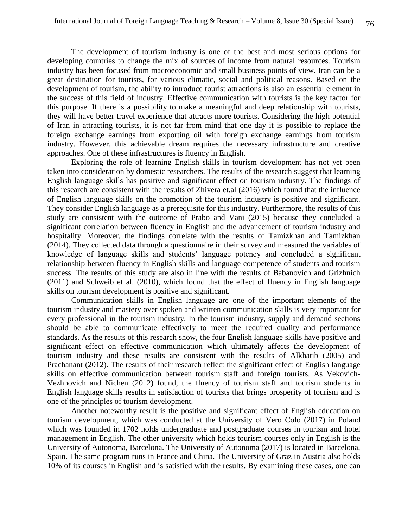The development of tourism industry is one of the best and most serious options for developing countries to change the mix of sources of income from natural resources. Tourism industry has been focused from macroeconomic and small business points of view. Iran can be a great destination for tourists, for various climatic, social and political reasons. Based on the development of tourism, the ability to introduce tourist attractions is also an essential element in the success of this field of industry. Effective communication with tourists is the key factor for this purpose. If there is a possibility to make a meaningful and deep relationship with tourists, they will have better travel experience that attracts more tourists. Considering the high potential of Iran in attracting tourists, it is not far from mind that one day it is possible to replace the foreign exchange earnings from exporting oil with foreign exchange earnings from tourism industry. However, this achievable dream requires the necessary infrastructure and creative approaches. One of these infrastructures is fluency in English.

Exploring the role of learning English skills in tourism development has not yet been taken into consideration by domestic researchers. The results of the research suggest that learning English language skills has positive and significant effect on tourism industry. The findings of this research are consistent with the results of Zhivera et.al (2016) which found that the influence of English language skills on the promotion of the tourism industry is positive and significant. They consider English language as a prerequisite for this industry. Furthermore, the results of this study are consistent with the outcome of Prabo and Vani (2015) because they concluded a significant correlation between fluency in English and the advancement of tourism industry and hospitality. Moreover, the findings correlate with the results of Tamizkhan and Tamizkhan (2014). They collected data through a questionnaire in their survey and measured the variables of knowledge of language skills and students' language potency and concluded a significant relationship between fluency in English skills and language competence of students and tourism success. The results of this study are also in line with the results of Babanovich and Grizhnich (2011) and Schweib et al. (2010), which found that the effect of fluency in English language skills on tourism development is positive and significant.

Communication skills in English language are one of the important elements of the tourism industry and mastery over spoken and written communication skills is very important for every professional in the tourism industry. In the tourism industry, supply and demand sections should be able to communicate effectively to meet the required quality and performance standards. As the results of this research show, the four English language skills have positive and significant effect on effective communication which ultimately affects the development of tourism industry and these results are consistent with the results of Alkhatib (2005) and Prachanant (2012). The results of their research reflect the significant effect of English language skills on effective communication between tourism staff and foreign tourists. As Vekovich-Vezhnovich and Nichen (2012) found, the fluency of tourism staff and tourism students in English language skills results in satisfaction of tourists that brings prosperity of tourism and is one of the principles of tourism development.

Another noteworthy result is the positive and significant effect of English education on tourism development, which was conducted at the University of Vero Colo (2017) in Poland which was founded in 1702 holds undergraduate and postgraduate courses in tourism and hotel management in English. The other university which holds tourism courses only in English is the University of Autonoma, Barcelona. The University of Autonoma (2017) is located in Barcelona, Spain. The same program runs in France and China. The University of Graz in Austria also holds 10% of its courses in English and is satisfied with the results. By examining these cases, one can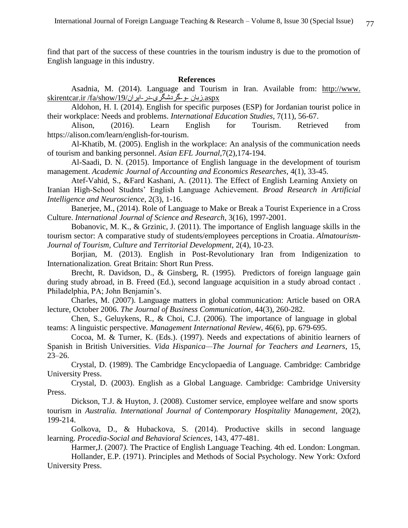find that part of the success of these countries in the tourism industry is due to the promotion of English language in this industry.

#### **References**

Asadnia, M. (2014). Language and Tourism in Iran. Available from[:](http://www.skirentcar.ir/fa/show/19/.زبان) [http://www.](http://www.skirentcar.ir/fa/show/19/.زبان) [a](http://www.skirentcar.ir/fa/show/19/.زبان)spx[.زبان](http://www.skirentcar.ir/fa/show/19/.زبان) -و-گردشگری-در-ایران/19/skirentcar.ir/fa/show

Aldohon, H. I. (2014). English for specific purposes (ESP) for Jordanian tourist police in their workplace: Needs and problems. *International Education Studies*, 7(11), 56-67.

Alison, (2016). Learn English for Tourism. Retrieved from [https://alison.com/learn/english-for-tourism.](https://alison.com/learn/english-for-tourism)

Al-Khatib, M. (2005). English in the workplace: An analysis of the communication needs of tourism and banking personnel. *Asian EFL Journal,*7(2),174-194.

Al-Saadi, D. N. (2015). Importance of English language in the development of tourism management. *Academic Journal of Accounting and Economics Researches*, 4(1), 33-45.

Atef-Vahid, S., &Fard Kashani, A. (2011). The Effect of English Learning Anxiety on Iranian High-School Studnts' English Language Achievement. *Broad Research in Artificial Intelligence and Neuroscience*, 2(3), 1-16.

Banerjee, M., (2014). Role of Language to Make or Break a Tourist Experience in a Cross Culture. *International Journal of Science and Research*, 3(16), 1997-2001.

Bobanovic, M. K., & Grzinic, J. (2011). The importance of English language skills in the tourism sector: A comparative study of students/employees perceptions in Croatia. *Almatourism-Journal of Tourism, Culture and Territorial Development*, 2(4), 10-23.

Borjian, M. (2013). English in Post-Revolutionary Iran from Indigenization to Internationalization*.* Great Britain: Short Run Press.

Brecht, R. Davidson, D., & Ginsberg, R. (1995). Predictors of foreign language gain during study abroad, in B. Freed (Ed.), second language acquisition in a study abroad contact . Philadelphia, PA; John Benjamin's.

Charles, M. (2007). Language matters in global communication: Article based on ORA lecture, October 2006. *The Journal of Business Communication*, 44(3), 260-282.

Chen, S., Geluykens, R., & Choi, C.J. (2006). The importance of language in global teams: A linguistic perspective. *Management International Review*, 46(6), pp. 679-695.

Cocoa, M. & Turner, K. (Eds.). (1997). Needs and expectations of abinitio learners of Spanish in British Universities. *Vida Hispanica—The Journal for Teachers and Learners*, 15, 23–26.

Crystal, D. (1989). The Cambridge Encyclopaedia of Language. Cambridge: Cambridge University Press.

Crystal, D. (2003). English as a Global Language. Cambridge: Cambridge University Press.

Dickson, T.J. & Huyton, J. (2008). Customer service, employee welfare and snow sports tourism in *Australia. International Journal of Contemporary Hospitality Management*, 20(2), 199-214.

Golkova, D., & Hubackova, S. (2014). Productive skills in second language learning. *Procedia-Social and Behavioral Sciences*, 143, 477-481.

Harmer,J. (2007*).* The Practice of English Language Teaching. 4th ed. London: Longman.

Hollander, E.P. (1971). Principles and Methods of Social Psychology. New York: Oxford University Press.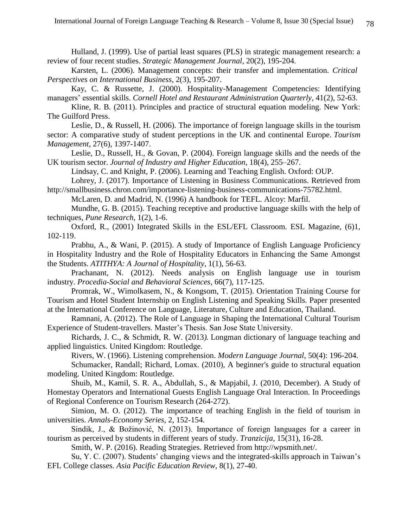Hulland, J. (1999). Use of partial least squares (PLS) in strategic management research: a review of four recent studies. *Strategic Management Journal*, 20(2), 195-204.

Karsten, L. (2006). Management concepts: their transfer and implementation. *Critical Perspectives on International Business*, 2(3), 195-207.

Kay, C. & Russette, J. (2000). Hospitality-Management Competencies: Identifying managers' essential skills. *Cornell Hotel and Restaurant Administration Quarterly*, 41(2), 52-63.

Kline, R. B. (2011). Principles and practice of structural equation modeling. New York: The Guilford Press.

Leslie, D., & Russell, H. (2006). The importance of foreign language skills in the tourism sector: A comparative study of student perceptions in the UK and continental Europe. *Tourism Management*, 27(6), 1397-1407.

Leslie, D., Russell, H., & Govan, P. (2004). Foreign language skills and the needs of the UK tourism sector. *Journal of Industry and Higher Education*, 18(4), 255–267.

Lindsay, C. and Knight, P. (2006). Learning and Teaching English. Oxford: OUP.

Lohrey, J. (2017). Importance of Listening in Business Communications. Retrieved from [http://smallbusiness.chron.com/importance-listening-business-communications-75782.html.](http://smallbusiness.chron.com/importance-listening-business-communications-75782.html)

McLaren, D. and Madrid, N. (1996) A handbook for TEFL. Alcoy: Marfil.

Mundhe, G. B. (2015). Teaching receptive and productive language skills with the help of techniques, *Pune Research*, 1(2), 1-6.

Oxford, R., (2001) Integrated Skills in the ESL/EFL Classroom. ESL Magazine, (6)1, 102-119.

Prabhu, A., & Wani, P. (2015). A study of Importance of English Language Proficiency in Hospitality Industry and the Role of Hospitality Educators in Enhancing the Same Amongst the Students. *ATITHYA: A Journal of Hospitality*, 1(1), 56-63.

Prachanant, N. (2012). Needs analysis on English language use in tourism industry. *Procedia-Social and Behavioral Sciences*, 66(7), 117-125.

Promrak, W., Wimolkasem, N., & Kongsom, T. (2015). Orientation Training Course for Tourism and Hotel Student Internship on English Listening and Speaking Skills. Paper presented at the International Conference on Language, Literature, Culture and Education, Thailand.

Ramnani, A. (2012). The Role of Language in Shaping the International Cultural Tourism Experience of Student-travellers. Master's Thesis. San Jose State University.

Richards, J. C., & Schmidt, R. W. (2013*).* Longman dictionary of language teaching and applied linguistics*.* United Kingdom: Routledge.

Rivers, W. (1966). Listening comprehension. *Modern Language Journal*, 50(4): 196-204.

Schumacker, Randall; Richard, Lomax. (2010), A beginner's guide to structural equation modeling. United Kingdom: Routledge.

Shuib, M., Kamil, S. R. A., Abdullah, S., & Mapjabil, J. (2010, December). A Study of Homestay Operators and International Guests English Language Oral Interaction. In Proceedings of Regional Conference on Tourism Research (264-272).

Simion, M. O. (2012). The importance of teaching English in the field of tourism in universities. *Annals-Economy Series*, 2, 152-154.

Sindik, J., & Božinović, N. (2013). Importance of foreign languages for a career in tourism as perceived by students in different years of study. *Tranzicija*, 15(31), 16-28.

Smith, W. P. (2016). Reading Strategies. Retrieved from [http://wpsmith.net/.](http://wpsmith.net/)

Su, Y. C. (2007). Students' changing views and the integrated-skills approach in Taiwan's EFL College classes. *Asia Pacific Education Review*, 8(1), 27-40.